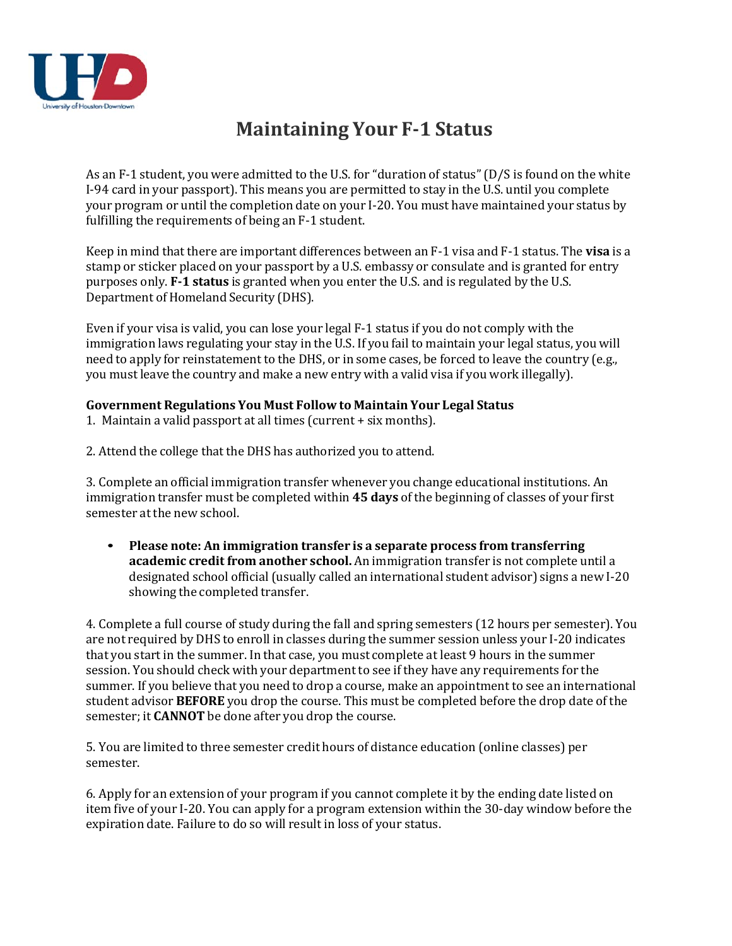

## **Maintaining Your F1 Status**

As an F‐1 student, you were admitted to the U.S. for "duration of status"(D/S is found on the white I‐94 card in your passport). This means you are permitted to stay in the U.S. until you complete your program or until the completion date on your I‐20. You must have maintained your status by fulfilling the requirements of being an F‐1 student.

Keep in mind that there are important differences between an F‐1 visa and F‐1 status. The **visa** is a stamp or sticker placed on your passport by a U.S. embassy or consulate and is granted for entry purposes only. **F1 status** is granted when you enter the U.S. and is regulated by the U.S. Department of Homeland Security (DHS).

Even if your visa is valid, you can lose your legal F‐1 status if you do not comply with the immigration laws regulating your stay in the U.S. If you fail to maintain your legal status, you will need to apply for reinstatement to the DHS, or in some cases, be forced to leave the country (e.g., you must leave the country and make a new entry with a valid visa if you work illegally).

## **Government Regulations You Must Follow to Maintain Your Legal Status**

- 1. Maintain a valid passport at all times (current + six months).
- 2. Attend the college that the DHS has authorized you to attend.

3. Complete an official immigration transfer whenever you change educational institutions. An immigration transfer must be completed within **45 days** of the beginning of classes of your first semester at the new school.

• **Please note: An immigration transfer is a separate process from transferring academic credit from another school.** An immigration transfer is not complete until a designated school official (usually called an international student advisor) signs a new I‐20 showing the completed transfer.

4. Complete a full course of study during the fall and spring semesters (12 hours per semester). You are not required by DHS to enroll in classes during the summer session unless your I‐20 indicates that you start in the summer. In that case, you must complete at least 9 hours in the summer session. You should check with your department to see if they have any requirements for the summer. If you believe that you need to drop a course, make an appointment to see an international student advisor **BEFORE** you drop the course. This must be completed before the drop date of the semester; it **CANNOT** be done after you drop the course.

5. You are limited to three semester credit hours of distance education (online classes) per semester.

6. Apply for an extension of your program if you cannot complete it by the ending date listed on item five of your I‐20. You can apply for a program extension within the 30‐day window before the expiration date. Failure to do so will result in loss of your status.